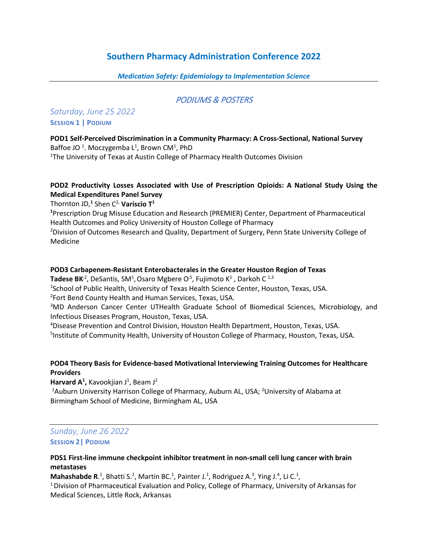# **Southern Pharmacy Administration Conference 2022**

#### *Medication Safety: Epidemiology to Implementation Science*

# PODIUMS & POSTERS

# *Saturday, June 25 2022* **SESSION 1 | PODIUM**

## **POD1 Self-Perceived Discrimination in a Community Pharmacy: A Cross-Sectional, National Survey**  Baffoe JO<sup>1</sup>. Moczygemba L<sup>1</sup>, Brown CM<sup>1</sup>, PhD

<sup>1</sup>The University of Texas at Austin College of Pharmacy Health Outcomes Division

# **POD2 Productivity Losses Associated with Use of Prescription Opioids: A National Study Using the Medical Expenditures Panel Survey**

Thornton JD, **<sup>1</sup>** Shen C2, **Variscio T1**

**1** Prescription Drug Misuse Education and Research (PREMIER) Center, Department of Pharmaceutical Health Outcomes and Policy University of Houston College of Pharmacy

<sup>2</sup>Division of Outcomes Research and Quality, Department of Surgery, Penn State University College of Medicine

#### **POD3 Carbapenem-Resistant Enterobacterales in the Greater Houston Region of Texas**

**Tadese BK**<sup>2</sup>, DeSantis, SM<sup>1</sup>, Osaro Mgbere O<sup>,5</sup>, Fujimoto K<sup>1</sup>, Darkoh C<sup>1,3</sup>

<sup>1</sup>School of Public Health, University of Texas Health Science Center, Houston, Texas, USA.

2 Fort Bend County Health and Human Services, Texas, USA.

<sup>3</sup>MD Anderson Cancer Center UTHealth Graduate School of Biomedical Sciences, Microbiology, and Infectious Diseases Program, Houston, Texas, USA.

4 Disease Prevention and Control Division, Houston Health Department, Houston, Texas, USA. <sup>5</sup>Institute of Community Health, University of Houston College of Pharmacy, Houston, Texas, USA.

#### **POD4 Theory Basis for Evidence-based Motivational Interviewing Training Outcomes for Healthcare Providers**

Harvard A<sup>1</sup>, Kavookjian J<sup>1</sup>, Beam J<sup>2</sup>

<sup>1</sup>Auburn University Harrison College of Pharmacy, Auburn AL, USA; <sup>2</sup>University of Alabama at Birmingham School of Medicine, Birmingham AL, USA

# *Sunday, June 26 2022* **SESSION 2| PODIUM**

#### **PDS1 First-line immune checkpoint inhibitor treatment in non-small cell lung cancer with brain metastases**

Mahashabde R.<sup>1</sup>, Bhatti S.<sup>2</sup>, Martin BC.<sup>1</sup>, Painter J.<sup>1</sup>, Rodriguez A.<sup>3</sup>, Ying J.<sup>4</sup>, Li C.<sup>1</sup>

<sup>1</sup> Division of Pharmaceutical Evaluation and Policy, College of Pharmacy, University of Arkansas for Medical Sciences, Little Rock, Arkansas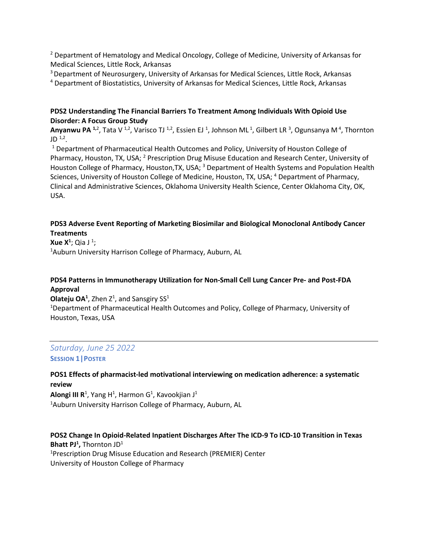<sup>2</sup> Department of Hematology and Medical Oncology, College of Medicine, University of Arkansas for Medical Sciences, Little Rock, Arkansas

<sup>3</sup> Department of Neurosurgery, University of Arkansas for Medical Sciences, Little Rock, Arkansas

<sup>4</sup> Department of Biostatistics, University of Arkansas for Medical Sciences, Little Rock, Arkansas

#### **PDS2 Understanding The Financial Barriers To Treatment Among Individuals With Opioid Use Disorder: A Focus Group Study**

**Anyanwu PA** <sup>1,2</sup>, Tata V <sup>1,2</sup>, Varisco TJ <sup>1,2</sup>, Essien EJ <sup>1</sup>, Johnson ML<sup>1</sup>, Gilbert LR <sup>3</sup>, Ogunsanya M<sup>4</sup>, Thornton JD  $^{1,2}$ .<br><sup>1</sup> Department of Pharmaceutical Health Outcomes and Policy, University of Houston College of

Pharmacy, Houston, TX, USA; 2 Prescription Drug Misuse Education and Research Center, University of Houston College of Pharmacy, Houston, TX, USA; <sup>3</sup> Department of Health Systems and Population Health Sciences, University of Houston College of Medicine, Houston, TX, USA; <sup>4</sup> Department of Pharmacy, Clinical and Administrative Sciences, Oklahoma University Health Science, Center Oklahoma City, OK, USA.

#### **PDS3 Adverse Event Reporting of Marketing Biosimilar and Biological Monoclonal Antibody Cancer Treatments**

**Xue X<sup>1</sup>; Qia J<sup>1</sup>;<br><sup>1</sup>Auburn Univer** <sup>1</sup>Auburn University Harrison College of Pharmacy, Auburn, AL

# **PDS4 Patterns in Immunotherapy Utilization for Non-Small Cell Lung Cancer Pre- and Post-FDA Approval**

**Olateju OA**<sup>1</sup>, Zhen  $Z^1$ , and Sansgiry SS<sup>1</sup> <sup>1</sup>Department of Pharmaceutical Health Outcomes and Policy, College of Pharmacy, University of Houston, Texas, USA

# *Saturday, June 25 2022* **SESSION 1|POSTER**

**POS1 Effects of pharmacist-led motivational interviewing on medication adherence: a systematic review**

**Alongi III R**<sup>1</sup>, Yang H<sup>1</sup>, Harmon G<sup>1</sup>, Kavookjian J<sup>1</sup> <sup>1</sup>Auburn University Harrison College of Pharmacy, Auburn, AL

**POS2 Change In Opioid-Related Inpatient Discharges After The ICD-9 To ICD-10 Transition in Texas Bhatt PJ<sup>1</sup>, Thornton JD<sup>1</sup>**<br><sup>1</sup> Prescription Drug Misu <sup>1</sup>Prescription Drug Misuse Education and Research (PREMIER) Center University of Houston College of Pharmacy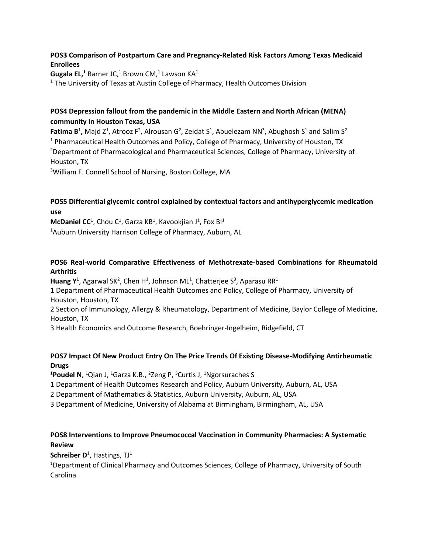# **POS3 Comparison of Postpartum Care and Pregnancy-Related Risk Factors Among Texas Medicaid Enrollees**

**Gugala EL,**<sup>1</sup> Barner JC,<sup>1</sup> Brown CM,<sup>1</sup> Lawson KA<sup>1</sup>

<sup>1</sup> The University of Texas at Austin College of Pharmacy, Health Outcomes Division

# **POS4 Depression fallout from the pandemic in the Middle Eastern and North African (MENA) community in Houston Texas, USA**

**Fatima B<sup>1</sup>,** Majd Z<sup>1</sup>, Atrooz F<sup>2</sup>, Alrousan G<sup>2</sup>, Zeidat S<sup>1</sup>, Abuelezam NN<sup>3</sup>, Abughosh S<sup>1</sup> and Salim S<sup>2</sup> <sup>1</sup> Pharmaceutical Health Outcomes and Policy, College of Pharmacy, University of Houston, TX <sup>2</sup>Department of Pharmacological and Pharmaceutical Sciences, College of Pharmacy, University of Houston, TX

<sup>3</sup>William F. Connell School of Nursing, Boston College, MA

# **POS5 Differential glycemic control explained by contextual factors and antihyperglycemic medication use**

 $McDaniel CC<sup>1</sup>$ , Chou C<sup>1</sup>, Garza KB<sup>1</sup>, Kavookjian J<sup>1</sup>, Fox Bl<sup>1</sup>

<sup>1</sup>Auburn University Harrison College of Pharmacy, Auburn, AL

## **POS6 Real-world Comparative Effectiveness of Methotrexate-based Combinations for Rheumatoid Arthritis**

Huang Y<sup>1</sup>, Agarwal SK<sup>2</sup>, Chen H<sup>1</sup>, Johnson ML<sup>1</sup>, Chatterjee S<sup>3</sup>, Aparasu RR<sup>1</sup>

1 Department of Pharmaceutical Health Outcomes and Policy, College of Pharmacy, University of Houston, Houston, TX

2 Section of Immunology, Allergy & Rheumatology, Department of Medicine, Baylor College of Medicine, Houston, TX

3 Health Economics and Outcome Research, Boehringer-Ingelheim, Ridgefield, CT

## **POS7 Impact Of New Product Entry On The Price Trends Of Existing Disease-Modifying Antirheumatic Drugs**

<sup>1</sup>Poudel N, <sup>1</sup>Qian J, <sup>1</sup>Garza K.B., <sup>2</sup>Zeng P, <sup>3</sup>Curtis J, <sup>1</sup>Ngorsuraches S

1 Department of Health Outcomes Research and Policy, Auburn University, Auburn, AL, USA

2 Department of Mathematics & Statistics, Auburn University, Auburn, AL, USA

3 Department of Medicine, University of Alabama at Birmingham, Birmingham, AL, USA

# **POS8 Interventions to Improve Pneumococcal Vaccination in Community Pharmacies: A Systematic Review**

**Schreiber D**<sup>1</sup>, Hastings, TJ<sup>1</sup>

<sup>1</sup>Department of Clinical Pharmacy and Outcomes Sciences, College of Pharmacy, University of South Carolina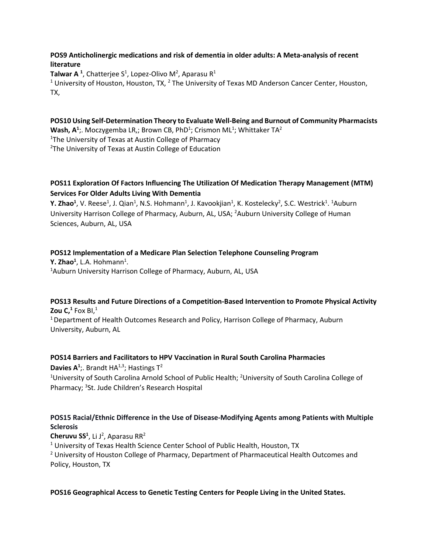#### **POS9 Anticholinergic medications and risk of dementia in older adults: A Meta-analysis of recent literature**

**Talwar A**<sup>1</sup>, Chatterjee S<sup>1</sup>, Lopez-Olivo M<sup>2</sup>, Aparasu R<sup>1</sup> <sup>1</sup> University of Houston, Houston, TX,  $^2$  The University of Texas MD Anderson Cancer Center, Houston, TX,

**POS10 Using Self-Determination Theory to Evaluate Well-Being and Burnout of Community Pharmacists** Wash, A<sup>1</sup>;. Moczygemba LR,; Brown CB, PhD<sup>1</sup>; Crismon ML<sup>1</sup>; Whittaker TA<sup>2</sup> <sup>1</sup>The University of Texas at Austin College of Pharmacy <sup>2</sup>The University of Texas at Austin College of Education

## **POS11 Exploration Of Factors Influencing The Utilization Of Medication Therapy Management (MTM) Services For Older Adults Living With Dementia**

**Y. Zhao<sup>1</sup>**, V. Reese<sup>1</sup>, J. Qian<sup>1</sup>, N.S. Hohmann<sup>1</sup>, J. Kavookjian<sup>1</sup>, K. Kostelecky<sup>2</sup>, S.C. Westrick<sup>1</sup>. <sup>1</sup>Auburn University Harrison College of Pharmacy, Auburn, AL, USA; <sup>2</sup>Auburn University College of Human Sciences, Auburn, AL, USA

**POS12 Implementation of a Medicare Plan Selection Telephone Counseling Program**

**Y. Zhao<sup>1</sup>,** L.A. Hohmann<sup>1</sup>.<br><sup>1</sup>Auburn University Harris <sup>1</sup> Auburn University Harrison College of Pharmacy, Auburn, AL, USA

# **POS13 Results and Future Directions of a Competition-Based Intervention to Promote Physical Activity Zou C,**<sup>1</sup> Fox BI,<sup>1</sup>

1 Department of Health Outcomes Research and Policy, Harrison College of Pharmacy, Auburn University, Auburn, AL

## **POS14 Barriers and Facilitators to HPV Vaccination in Rural South Carolina Pharmacies**

**Davies A<sup>1</sup>**;. Brandt HA<sup>1,3</sup>; Hastings  $T^2$ <sup>1</sup>University of South Carolina Arnold School of Public Health; <sup>2</sup>University of South Carolina College of Pharmacy; <sup>3</sup>St. Jude Children's Research Hospital

# **POS15 Racial/Ethnic Difference in the Use of Disease-Modifying Agents among Patients with Multiple Sclerosis**

Cheruvu SS<sup>1</sup>, Li J<sup>2</sup>, Aparasu RR<sup>2</sup>

<sup>1</sup> University of Texas Health Science Center School of Public Health, Houston, TX <sup>2</sup> University of Houston College of Pharmacy, Department of Pharmaceutical Health Outcomes and Policy, Houston, TX

## **POS16 Geographical Access to Genetic Testing Centers for People Living in the United States.**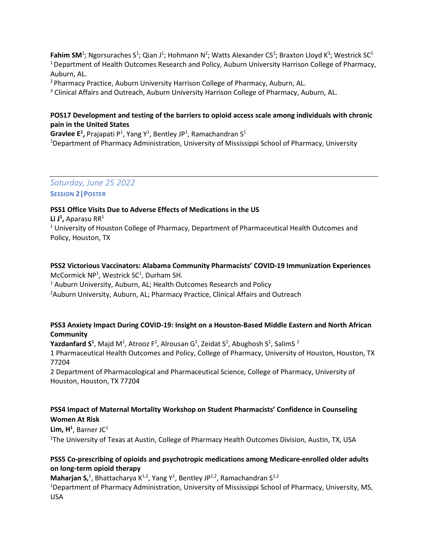**Fahim SM**<sup>1</sup>; Ngorsuraches S<sup>1</sup>; Qian J<sup>1</sup>; Hohmann N<sup>2</sup>; Watts Alexander CS<sup>2</sup>; Braxton Lloyd K<sup>3</sup>; Westrick SC<sup>1</sup> <sup>1</sup> Department of Health Outcomes Research and Policy, Auburn University Harrison College of Pharmacy, Auburn, AL.

2 Pharmacy Practice, Auburn University Harrison College of Pharmacy, Auburn, AL.

<sup>3</sup> Clinical Affairs and Outreach, Auburn University Harrison College of Pharmacy, Auburn, AL.

## **POS17 Development and testing of the barriers to opioid access scale among individuals with chronic pain in the United States**

Gravlee E<sup>1</sup>, Prajapati P<sup>1</sup>, Yang Y<sup>1</sup>, Bentley JP<sup>1</sup>, Ramachandran S<sup>1</sup> <sup>1</sup>Department of Pharmacy Administration, University of Mississippi School of Pharmacy, University

*Saturday, June 25 2022* **SESSION 2|POSTER**

#### **PSS1 Office Visits Due to Adverse Effects of Medications in the US**

**Li J1 ,** Aparasu RR1 <sup>1</sup> University of Houston College of Pharmacy, Department of Pharmaceutical Health Outcomes and Policy, Houston, TX

#### **PSS2 Victorious Vaccinators: Alabama Community Pharmacists' COVID-19 Immunization Experiences** McCormick NP<sup>1</sup>, Westrick SC<sup>1</sup>, Durham SH.

<sup>1</sup> Auburn University, Auburn, AL; Health Outcomes Research and Policy <sup>2</sup>Auburn University, Auburn, AL; Pharmacy Practice, Clinical Affairs and Outreach

#### **PSS3 Anxiety Impact During COVID-19: Insight on a Houston-Based Middle Eastern and North African Community**

**Yazdanfard S<sup>1</sup>**, Majd M<sup>1</sup>, Atrooz F<sup>2</sup>, Alrousan G<sup>2</sup>, Zeidat S<sup>2</sup>, Abughosh S<sup>1</sup>, SalimS <sup>2</sup> 1 Pharmaceutical Health Outcomes and Policy, College of Pharmacy, University of Houston, Houston, TX 77204

2 Department of Pharmacological and Pharmaceutical Science, College of Pharmacy, University of Houston, Houston, TX 77204

#### **PSS4 Impact of Maternal Mortality Workshop on Student Pharmacists' Confidence in Counseling Women At Risk**

Lim, H<sup>1</sup>, Barner JC<sup>1</sup> <sup>1</sup>The University of Texas at Austin, College of Pharmacy Health Outcomes Division, Austin, TX, USA

## **PSS5 Co-prescribing of opioids and psychotropic medications among Medicare-enrolled older adults on long-term opioid therapy**

**Maharjan S,**<sup>1</sup>, Bhattacharya K<sup>1,2</sup>, Yang Y<sup>1</sup>, Bentley JP<sup>1,2</sup>, Ramachandran S<sup>1,2</sup>

<sup>1</sup>Department of Pharmacy Administration, University of Mississippi School of Pharmacy, University, MS, USA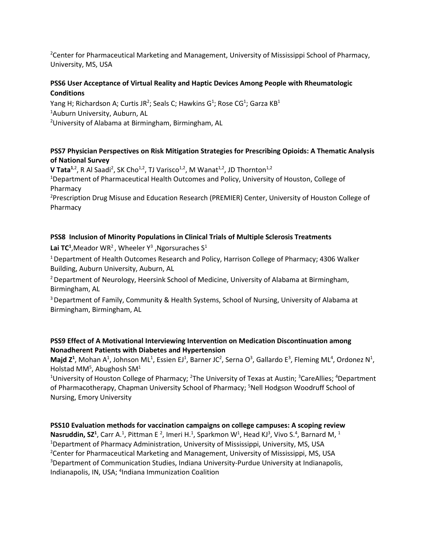<sup>2</sup> Center for Pharmaceutical Marketing and Management, University of Mississippi School of Pharmacy, University, MS, USA

#### **PSS6 User Acceptance of Virtual Reality and Haptic Devices Among People with Rheumatologic Conditions**

Yang H; Richardson A; Curtis JR<sup>2</sup>; Seals C; Hawkins G<sup>1</sup>; Rose CG<sup>1</sup>; Garza KB<sup>1</sup>

1 Auburn University, Auburn, AL

2 University of Alabama at Birmingham, Birmingham, AL

## **PSS7 Physician Perspectives on Risk Mitigation Strategies for Prescribing Opioids: A Thematic Analysis of National Survey**

**V Tata<sup>1,2</sup>, R** Al Saadi<sup>2</sup>, SK Cho<sup>1,2</sup>, TJ Varisco<sup>1,2</sup>, M Wanat<sup>1,2</sup>, JD Thornton<sup>1,2</sup>

<sup>1</sup>Department of Pharmaceutical Health Outcomes and Policy, University of Houston, College of Pharmacy

<sup>2</sup>Prescription Drug Misuse and Education Research (PREMIER) Center, University of Houston College of Pharmacy

## **PSS8 Inclusion of Minority Populations in Clinical Trials of Multiple Sclerosis Treatments**

Lai TC<sup>1</sup>, Meador WR<sup>2</sup>, Wheeler Y<sup>3</sup>, Ngorsuraches S<sup>1</sup>

<sup>1</sup> Department of Health Outcomes Research and Policy, Harrison College of Pharmacy; 4306 Walker Building, Auburn University, Auburn, AL

<sup>2</sup> Department of Neurology, Heersink School of Medicine, University of Alabama at Birmingham, Birmingham, AL

3 Department of Family, Community & Health Systems, School of Nursing, University of Alabama at Birmingham, Birmingham, AL

#### **PSS9 Effect of A Motivational Interviewing Intervention on Medication Discontinuation among Nonadherent Patients with Diabetes and Hypertension**

**Majd Z<sup>1</sup>**, Mohan A<sup>1</sup>, Johnson ML<sup>1</sup>, Essien EJ<sup>1</sup>, Barner JC<sup>2</sup>, Serna O<sup>3</sup>, Gallardo E<sup>3</sup>, Fleming ML<sup>4</sup>, Ordonez N<sup>1</sup>, Holstad MM<sup>5</sup>, Abughosh SM<sup>1</sup>

<sup>1</sup>University of Houston College of Pharmacy; <sup>2</sup>The University of Texas at Austin; <sup>3</sup>CareAllies; <sup>4</sup>Department of Pharmacotherapy, Chapman University School of Pharmacy; <sup>5</sup>Nell Hodgson Woodruff School of Nursing, Emory University

## **PSS10 Evaluation methods for vaccination campaigns on college campuses: A scoping review**

**Nasruddin, SZ<sup>1</sup>**, Carr A.<sup>1</sup>, Pittman E<sup>2</sup>, Imeri H.<sup>1</sup>, Sparkmon W<sup>1</sup>, Head KJ<sup>3</sup>, Vivo S.<sup>4</sup>, Barnard M, <sup>1</sup> <sup>1</sup>Department of Pharmacy Administration, University of Mississippi, University, MS, USA <sup>2</sup> Center for Pharmaceutical Marketing and Management, University of Mississippi, MS, USA <sup>3</sup>Department of Communication Studies, Indiana University-Purdue University at Indianapolis, Indianapolis, IN, USA; <sup>4</sup>Indiana Immunization Coalition